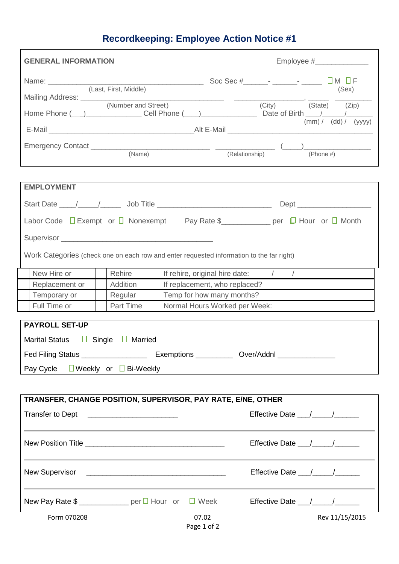## **Recordkeeping: Employee Action Notice #1**

| <b>GENERAL INFORMATION</b>                                                               |                                                                                                                      |  |  |  |
|------------------------------------------------------------------------------------------|----------------------------------------------------------------------------------------------------------------------|--|--|--|
|                                                                                          |                                                                                                                      |  |  |  |
| Mailing Address: (Number and Street)                                                     |                                                                                                                      |  |  |  |
|                                                                                          | (City) (State) (Zip)                                                                                                 |  |  |  |
| (mm) / (dd) / (yyy)                                                                      |                                                                                                                      |  |  |  |
|                                                                                          |                                                                                                                      |  |  |  |
| (Name)                                                                                   | (Relationship)<br>$(Phone \#)$                                                                                       |  |  |  |
| <b>EMPLOYMENT</b>                                                                        |                                                                                                                      |  |  |  |
|                                                                                          |                                                                                                                      |  |  |  |
|                                                                                          | Labor Code □ Exempt or □ Nonexempt Pay Rate \$<br>Pay Rate \$<br>Pay Rate \$<br>Pay Rate \$<br>per □ Hour or □ Month |  |  |  |
|                                                                                          |                                                                                                                      |  |  |  |
| Work Categories (check one on each row and enter requested information to the far right) |                                                                                                                      |  |  |  |
| New Hire or<br>Rehire                                                                    | If rehire, original hire date: / /                                                                                   |  |  |  |
| Addition<br>Replacement or                                                               | If replacement, who replaced?                                                                                        |  |  |  |
| Temporary or<br>Regular                                                                  | Temp for how many months?                                                                                            |  |  |  |
| Full Time or<br>Part Time                                                                | Normal Hours Worked per Week:                                                                                        |  |  |  |
| <b>PAYROLL SET-UP</b>                                                                    |                                                                                                                      |  |  |  |
| <b>Marital Status</b><br>$\Box$ Single $\Box$ Married                                    |                                                                                                                      |  |  |  |
|                                                                                          |                                                                                                                      |  |  |  |
| Pay Cycle $\Box$ Weekly or $\Box$ Bi-Weekly                                              |                                                                                                                      |  |  |  |
|                                                                                          |                                                                                                                      |  |  |  |
| TRANSFER, CHANGE POSITION, SUPERVISOR, PAY RATE, E/NE, OTHER                             |                                                                                                                      |  |  |  |
| Transfer to Dept <b>Fransfer</b> to Dept <b>Fransfer</b>                                 | Effective Date / /                                                                                                   |  |  |  |
|                                                                                          |                                                                                                                      |  |  |  |
|                                                                                          | Effective Date __/___/_________                                                                                      |  |  |  |
| New Pay Rate $\frac{1}{2}$ _______________ per $\Box$ Hour or $\Box$ Week                | Effective Date $\frac{1}{\sqrt{1-\frac{1}{2}}}\$                                                                     |  |  |  |
| Form 070208                                                                              | 07.02<br>Rev 11/15/2015<br>Page 1 of 2                                                                               |  |  |  |